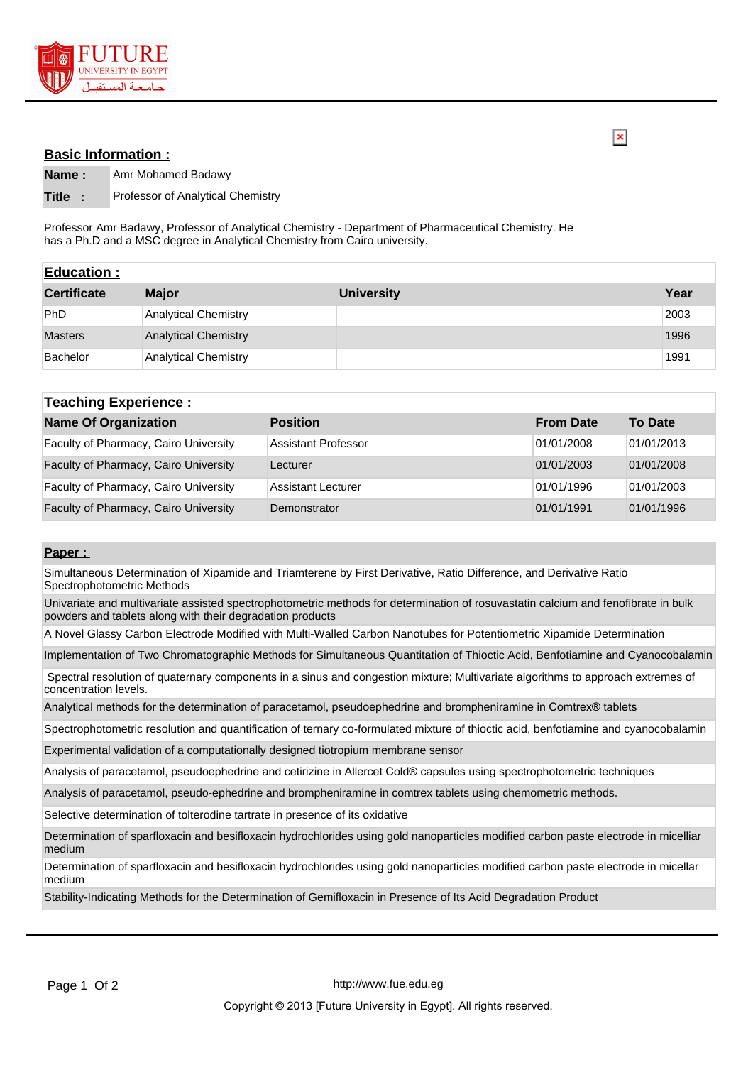

## **Basic Information :**

 $\overline{\mathbf{x}}$ 

**Name :** Amr Mohamed Badawy

**Title :** Professor of Analytical Chemistry

Professor Amr Badawy, Professor of Analytical Chemistry - Department of Pharmaceutical Chemistry. He has a Ph.D and a MSC degree in Analytical Chemistry from Cairo university.

| <b>Education:</b>  |                             |                   |      |
|--------------------|-----------------------------|-------------------|------|
| <b>Certificate</b> | <b>Major</b>                | <b>University</b> | Year |
| <b>PhD</b>         | <b>Analytical Chemistry</b> |                   | 2003 |
| <b>Masters</b>     | <b>Analytical Chemistry</b> |                   | 1996 |
| Bachelor           | Analytical Chemistry        |                   | 1991 |

| <b>Teaching Experience:</b>                  |                            |                  |                |  |  |
|----------------------------------------------|----------------------------|------------------|----------------|--|--|
| <b>Name Of Organization</b>                  | <b>Position</b>            | <b>From Date</b> | <b>To Date</b> |  |  |
| <b>Faculty of Pharmacy, Cairo University</b> | <b>Assistant Professor</b> | 01/01/2008       | 01/01/2013     |  |  |
| Faculty of Pharmacy, Cairo University        | Lecturer                   | 01/01/2003       | 01/01/2008     |  |  |
| Faculty of Pharmacy, Cairo University        | Assistant Lecturer         | 01/01/1996       | 01/01/2003     |  |  |
| Faculty of Pharmacy, Cairo University        | Demonstrator               | 01/01/1991       | 01/01/1996     |  |  |

## **Paper :**

Simultaneous Determination of Xipamide and Triamterene by First Derivative, Ratio Difference, and Derivative Ratio Spectrophotometric Methods

Univariate and multivariate assisted spectrophotometric methods for determination of rosuvastatin calcium and fenofibrate in bulk powders and tablets along with their degradation products

A Novel Glassy Carbon Electrode Modified with Multi-Walled Carbon Nanotubes for Potentiometric Xipamide Determination

Implementation of Two Chromatographic Methods for Simultaneous Quantitation of Thioctic Acid, Benfotiamine and Cyanocobalamin

 Spectral resolution of quaternary components in a sinus and congestion mixture; Multivariate algorithms to approach extremes of concentration levels.

Analytical methods for the determination of paracetamol, pseudoephedrine and brompheniramine in Comtrex® tablets

Spectrophotometric resolution and quantification of ternary co-formulated mixture of thioctic acid, benfotiamine and cyanocobalamin

Experimental validation of a computationally designed tiotropium membrane sensor

Analysis of paracetamol, pseudoephedrine and cetirizine in Allercet Cold® capsules using spectrophotometric techniques

Analysis of paracetamol, pseudo-ephedrine and brompheniramine in comtrex tablets using chemometric methods.

Selective determination of tolterodine tartrate in presence of its oxidative

Determination of sparfloxacin and besifloxacin hydrochlorides using gold nanoparticles modified carbon paste electrode in micelliar medium

Determination of sparfloxacin and besifloxacin hydrochlorides using gold nanoparticles modified carbon paste electrode in micellar medium

Stability-Indicating Methods for the Determination of Gemifloxacin in Presence of Its Acid Degradation Product